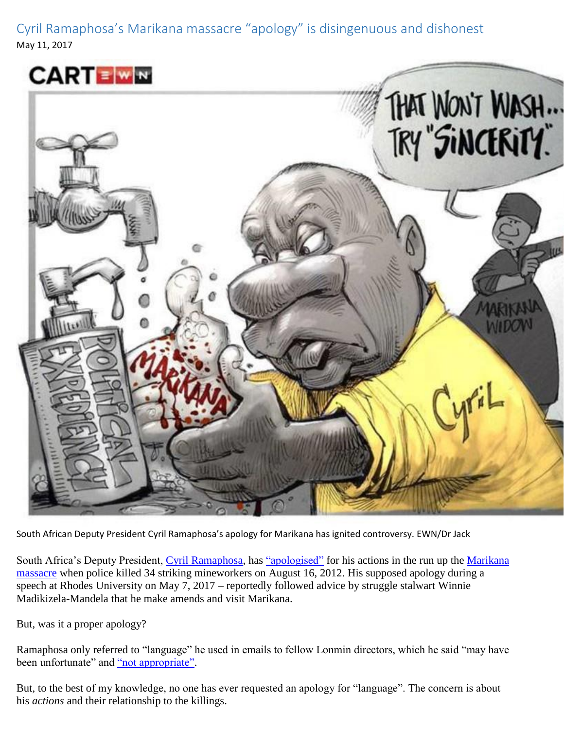Cyril Ramaphosa's Marikana massacre "apology" is disingenuous and dishonest May 11, 2017





South African Deputy President Cyril Ramaphosa's apology for Marikana has ignited controversy. EWN/Dr Jack

South Africa's Deputy President, [Cyril Ramaphosa,](http://www.gcis.gov.za/content/resourcecentre/profiles/profile/987) has ["apologised"](http://www.timeslive.co.za/thetimes/2017/05/08/Cyril-to-make-amends-Ramaphosa-takes-up-Madikizela-Mandela%E2%80%99s-offer-over-Marikana-apology) for his actions in the run up the Marikana [massacre](https://theconversation.com/marikana-shining-the-light-on-police-militarisation-and-brutality-in-south-africa-44162) when police killed 34 striking mineworkers on August 16, 2012. His supposed apology during a speech at Rhodes University on May 7, 2017 – reportedly followed advice by struggle stalwart Winnie Madikizela-Mandela that he make amends and visit Marikana.

But, was it a proper apology?

Ramaphosa only referred to "language" he used in emails to fellow Lonmin directors, which he said "may have been unfortunate" and ["not appropriate".](http://ewn.co.za/2017/05/07/ramaphosa-apologises-for-inappropriate-language-during-marikana-strike)

But, to the best of my knowledge, no one has ever requested an apology for "language". The concern is about his *actions* and their relationship to the killings.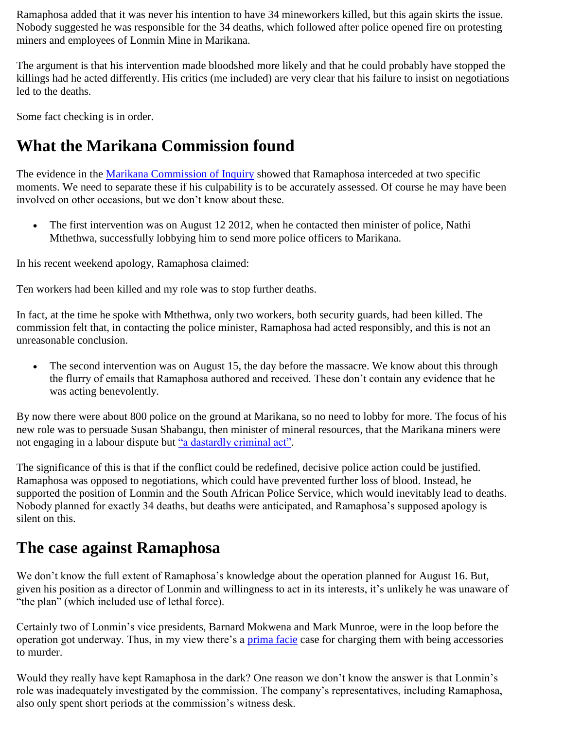Ramaphosa added that it was never his intention to have 34 mineworkers killed, but this again skirts the issue. Nobody suggested he was responsible for the 34 deaths, which followed after police opened fire on protesting miners and employees of Lonmin Mine in Marikana.

The argument is that his intervention made bloodshed more likely and that he could probably have stopped the killings had he acted differently. His critics (me included) are very clear that his failure to insist on negotiations led to the deaths.

Some fact checking is in order.

## **What the Marikana Commission found**

The evidence in the [Marikana Commission of Inquiry](http://www.marikanacomm.org.za/) showed that Ramaphosa interceded at two specific moments. We need to separate these if his culpability is to be accurately assessed. Of course he may have been involved on other occasions, but we don't know about these.

 The first intervention was on August 12 2012, when he contacted then minister of police, Nathi Mthethwa, successfully lobbying him to send more police officers to Marikana.

In his recent weekend apology, Ramaphosa claimed:

Ten workers had been killed and my role was to stop further deaths.

In fact, at the time he spoke with Mthethwa, only two workers, both security guards, had been killed. The commission felt that, in contacting the police minister, Ramaphosa had acted responsibly, and this is not an unreasonable conclusion.

• The second intervention was on August 15, the day before the massacre. We know about this through the flurry of emails that Ramaphosa authored and received. These don't contain any evidence that he was acting benevolently.

By now there were about 800 police on the ground at Marikana, so no need to lobby for more. The focus of his new role was to persuade Susan Shabangu, then minister of mineral resources, that the Marikana miners were not engaging in a labour dispute but ["a dastardly criminal act".](http://www.sowetanlive.co.za/news/2012/10/24/marikana-inquiry-shown-ramaphosa-emails)

The significance of this is that if the conflict could be redefined, decisive police action could be justified. Ramaphosa was opposed to negotiations, which could have prevented further loss of blood. Instead, he supported the position of Lonmin and the South African Police Service, which would inevitably lead to deaths. Nobody planned for exactly 34 deaths, but deaths were anticipated, and Ramaphosa's supposed apology is silent on this.

## **The case against Ramaphosa**

We don't know the full extent of Ramaphosa's knowledge about the operation planned for August 16. But, given his position as a director of Lonmin and willingness to act in its interests, it's unlikely he was unaware of "the plan" (which included use of lethal force).

Certainly two of Lonmin's vice presidents, Barnard Mokwena and Mark Munroe, were in the loop before the operation got underway. Thus, in my view there's a [prima facie](http://legal-dictionary.thefreedictionary.com/prima+facie) case for charging them with being accessories to murder.

Would they really have kept Ramaphosa in the dark? One reason we don't know the answer is that Lonmin's role was inadequately investigated by the commission. The company's representatives, including Ramaphosa, also only spent short periods at the commission's witness desk.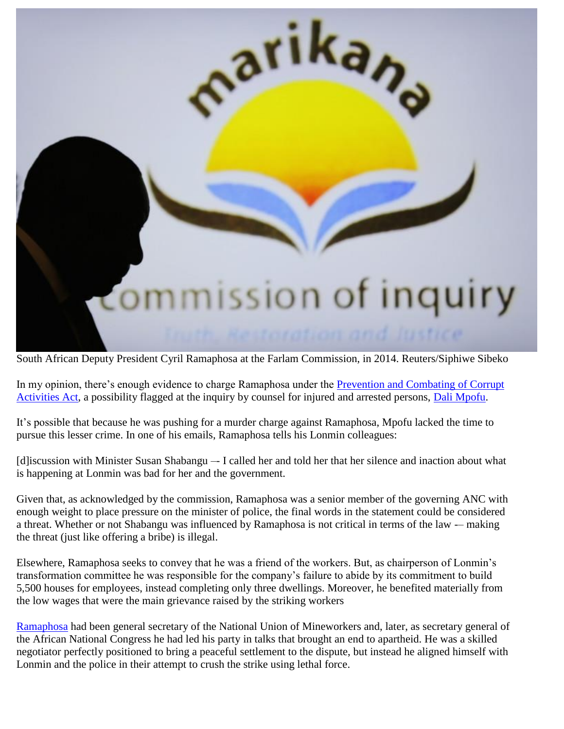

South African Deputy President Cyril Ramaphosa at the Farlam Commission, in 2014. Reuters/Siphiwe Sibeko

In my opinion, there's enough evidence to charge Ramaphosa under the Prevention and Combating of Corrupt [Activities Act,](http://www.gov.za/documents/prevention-and-combating-corrupt-activities-act-0) a possibility flagged at the inquiry by counsel for injured and arrested persons, [Dali Mpofu.](http://www.incwajana.com/dali-mpofu/)

It's possible that because he was pushing for a murder charge against Ramaphosa, Mpofu lacked the time to pursue this lesser crime. In one of his emails, Ramaphosa tells his Lonmin colleagues:

[d]iscussion with Minister Susan Shabangu –- I called her and told her that her silence and inaction about what is happening at Lonmin was bad for her and the government.

Given that, as acknowledged by the commission, Ramaphosa was a senior member of the governing ANC with enough weight to place pressure on the minister of police, the final words in the statement could be considered a threat. Whether or not Shabangu was influenced by Ramaphosa is not critical in terms of the law -– making the threat (just like offering a bribe) is illegal.

Elsewhere, Ramaphosa seeks to convey that he was a friend of the workers. But, as chairperson of Lonmin's transformation committee he was responsible for the company's failure to abide by its commitment to build 5,500 houses for employees, instead completing only three dwellings. Moreover, he benefited materially from the low wages that were the main grievance raised by the striking workers

[Ramaphosa](http://www.sahistory.org.za/people/cyril-matamela-ramaphosa) had been general secretary of the National Union of Mineworkers and, later, as secretary general of the African National Congress he had led his party in talks that brought an end to apartheid. He was a skilled negotiator perfectly positioned to bring a peaceful settlement to the dispute, but instead he aligned himself with Lonmin and the police in their attempt to crush the strike using lethal force.